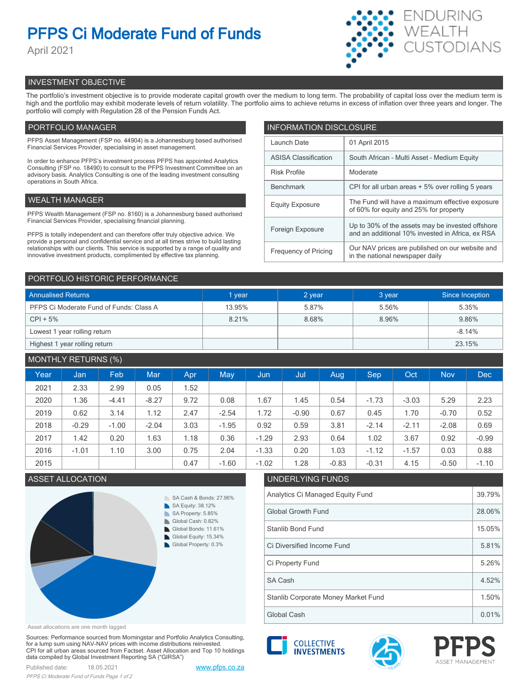# **PFPS Ci Moderate Fund of Funds**

April 2021



# INVESTMENT OBJECTIVE

The portfolio's investment objective is to provide moderate capital growth over the medium to long term. The probability of capital loss over the medium term is high and the portfolio may exhibit moderate levels of return volatility. The portfolio aims to achieve returns in excess of inflation over three years and longer. The portfolio will comply with Regulation 28 of the Pension Funds Act.

# PORTFOLIO MANAGER

PFPS Asset Management (FSP no. 44904) is a Johannesburg based authorised Financial Services Provider, specialising in asset management.

In order to enhance PFPS's investment process PFPS has appointed Analytics Consulting (FSP no. 18490) to consult to the PFPS Investment Committee on an advisory basis. Analytics Consulting is one of the leading investment consulting operations in South Africa.

## WEALTH MANAGER

PFPS Wealth Management (FSP no. 8160) is a Johannesburg based authorised Financial Services Provider, specialising financial planning.

PFPS is totally independent and can therefore offer truly objective advice. We provide a personal and confidential service and at all times strive to build lasting relationships with our clients. This service is supported by a range of quality and innovative investment products, complimented by effective tax planning.

| <b>INFORMATION DISCLOSURE</b> |                                                                                                      |  |  |  |  |
|-------------------------------|------------------------------------------------------------------------------------------------------|--|--|--|--|
| Launch Date                   | 01 April 2015                                                                                        |  |  |  |  |
| <b>ASISA Classification</b>   | South African - Multi Asset - Medium Equity                                                          |  |  |  |  |
| <b>Risk Profile</b>           | Moderate                                                                                             |  |  |  |  |
| <b>Benchmark</b>              | CPI for all urban areas + 5% over rolling 5 years                                                    |  |  |  |  |
| <b>Equity Exposure</b>        | The Fund will have a maximum effective exposure<br>of 60% for equity and 25% for property            |  |  |  |  |
| Foreign Exposure              | Up to 30% of the assets may be invested offshore<br>and an additional 10% invested in Africa, ex RSA |  |  |  |  |
| <b>Frequency of Pricing</b>   | Our NAV prices are published on our website and<br>in the national newspaper daily                   |  |  |  |  |

### PORTFOLIO HISTORIC PERFORMANCE

| <b>Annualised Returns</b>               | 1 year | 2 year | 3 year | Since Inception |  |
|-----------------------------------------|--------|--------|--------|-----------------|--|
| PFPS Ci Moderate Fund of Funds: Class A | 13.95% | 5.87%  | 5.56%  | 5.35%           |  |
| $CPI + 5%$                              | 8.21%  | 8.68%  | 8.96%  | 9.86%           |  |
| Lowest 1 year rolling return            |        |        |        | $-8.14%$        |  |
| Highest 1 year rolling return           |        |        |        | 23.15%          |  |

# MONTHLY RETURNS (%)

|      |         | $\sim$ $\sim$ $\sim$ $\sim$ |            |      |         |            |         |         |         |         |            |            |
|------|---------|-----------------------------|------------|------|---------|------------|---------|---------|---------|---------|------------|------------|
| Year | Jan     | Feb.                        | <b>Mar</b> | Apr  | May     | <b>Jun</b> | Jul     | Aug     | Sep     | Oct     | <b>Nov</b> | <b>Dec</b> |
| 2021 | 2.33    | 2.99                        | 0.05       | 1.52 |         |            |         |         |         |         |            |            |
| 2020 | 1.36    | $-4.41$                     | $-8.27$    | 9.72 | 0.08    | 1.67       | 1.45    | 0.54    | $-1.73$ | $-3.03$ | 5.29       | 2.23       |
| 2019 | 0.62    | 3.14                        | 1.12       | 2.47 | $-2.54$ | 1.72       | $-0.90$ | 0.67    | 0.45    | 1.70    | $-0.70$    | 0.52       |
| 2018 | $-0.29$ | $-1.00$                     | $-2.04$    | 3.03 | $-1.95$ | 0.92       | 0.59    | 3.81    | $-2.14$ | $-2.11$ | $-2.08$    | 0.69       |
| 2017 | 1.42    | 0.20                        | 1.63       | 1.18 | 0.36    | $-1.29$    | 2.93    | 0.64    | 1.02    | 3.67    | 0.92       | $-0.99$    |
| 2016 | $-1.01$ | 1.10                        | 3.00       | 0.75 | 2.04    | $-1.33$    | 0.20    | 1.03    | $-1.12$ | $-1.57$ | 0.03       | 0.88       |
| 2015 |         |                             |            | 0.47 | $-1.60$ | $-1.02$    | 1.28    | $-0.83$ | $-0.31$ | 4.15    | $-0.50$    | $-1.10$    |



# ASSET ALLOCATION UNDERLYING FUNDS Analytics Ci Managed Equity Fund 39.79% Global Growth Fund 28.06% Stanlib Bond Fund 15.05% Ci Property Fund 5.26% Ci Diversified Income Fund 5.81% Stanlib Corporate Money Market Fund 1.50% SA Cash 4.52%

Asset allocations are one month lagged

Sources: Performance sourced from Morningstar and Portfolio Analytics Consulting, for a lump sum using NAV-NAV prices with income distributions reinvested. CPI for all urban areas sourced from Factset. Asset Allocation and Top 10 holdings data compiled by Global Investment Reporting SA ("GIRSA")





Global Cash 0.01%